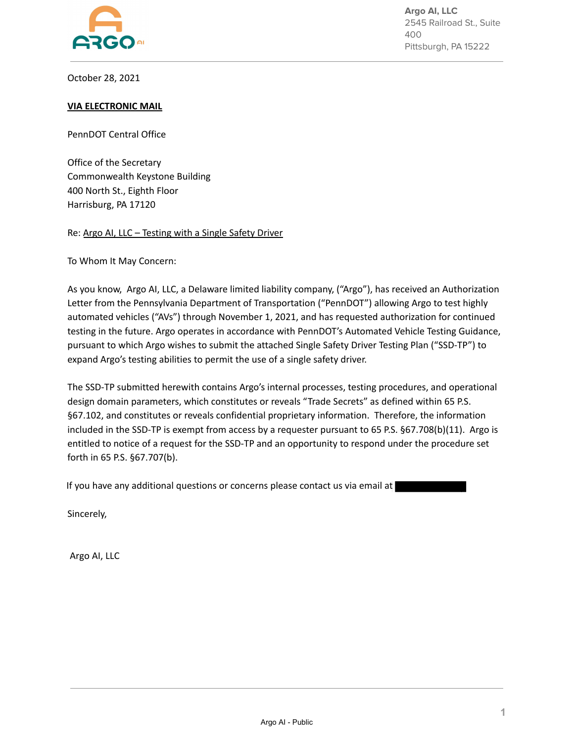

**Argo AI, LLC** 2545 Railroad St., Suite 400 Pittsburgh, PA 15222

October 28, 2021

#### **VIA ELECTRONIC MAIL**

PennDOT Central Office

Office of the Secretary Commonwealth Keystone Building 400 North St., Eighth Floor Harrisburg, PA 17120

Re: Argo AI, LLC – Testing with a Single Safety Driver

To Whom It May Concern:

As you know, Argo AI, LLC, a Delaware limited liability company, ("Argo"), has received an Authorization Letter from the Pennsylvania Department of Transportation ("PennDOT") allowing Argo to test highly automated vehicles ("AVs") through November 1, 2021, and has requested authorization for continued testing in the future. Argo operates in accordance with PennDOT's Automated Vehicle Testing Guidance, pursuant to which Argo wishes to submit the attached Single Safety Driver Testing Plan ("SSD-TP") to expand Argo's testing abilities to permit the use of a single safety driver.

The SSD-TP submitted herewith contains Argo's internal processes, testing procedures, and operational design domain parameters, which constitutes or reveals "Trade Secrets" as defined within 65 P.S. §67.102, and constitutes or reveals confidential proprietary information. Therefore, the information included in the SSD-TP is exempt from access by a requester pursuant to 65 P.S. §67.708(b)(11). Argo is entitled to notice of a request for the SSD-TP and an opportunity to respond under the procedure set forth in 65 P.S. §67.707(b).

If you have any additional questions or concerns please contact us via email at

Sincerely,

Argo AI, LLC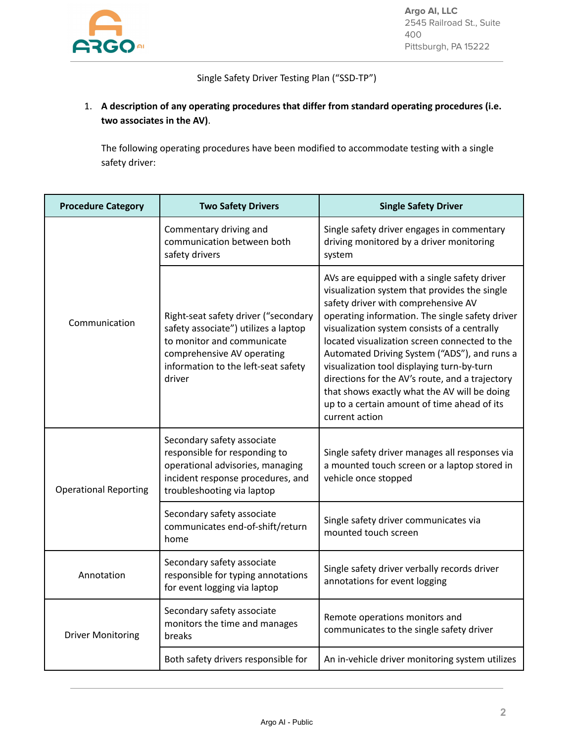

Single Safety Driver Testing Plan ("SSD-TP")

## 1. **A description of any operating procedures that differ from standard operating procedures (i.e. two associates in the AV)**.

The following operating procedures have been modified to accommodate testing with a single safety driver:

| <b>Procedure Category</b>    | <b>Two Safety Drivers</b>                                                                                                                                                                 | <b>Single Safety Driver</b>                                                                                                                                                                                                                                                                                                                                                                                                                                                                                                                                |
|------------------------------|-------------------------------------------------------------------------------------------------------------------------------------------------------------------------------------------|------------------------------------------------------------------------------------------------------------------------------------------------------------------------------------------------------------------------------------------------------------------------------------------------------------------------------------------------------------------------------------------------------------------------------------------------------------------------------------------------------------------------------------------------------------|
|                              | Commentary driving and<br>communication between both<br>safety drivers                                                                                                                    | Single safety driver engages in commentary<br>driving monitored by a driver monitoring<br>system                                                                                                                                                                                                                                                                                                                                                                                                                                                           |
| Communication                | Right-seat safety driver ("secondary<br>safety associate") utilizes a laptop<br>to monitor and communicate<br>comprehensive AV operating<br>information to the left-seat safety<br>driver | AVs are equipped with a single safety driver<br>visualization system that provides the single<br>safety driver with comprehensive AV<br>operating information. The single safety driver<br>visualization system consists of a centrally<br>located visualization screen connected to the<br>Automated Driving System ("ADS"), and runs a<br>visualization tool displaying turn-by-turn<br>directions for the AV's route, and a trajectory<br>that shows exactly what the AV will be doing<br>up to a certain amount of time ahead of its<br>current action |
| <b>Operational Reporting</b> | Secondary safety associate<br>responsible for responding to<br>operational advisories, managing<br>incident response procedures, and<br>troubleshooting via laptop                        | Single safety driver manages all responses via<br>a mounted touch screen or a laptop stored in<br>vehicle once stopped                                                                                                                                                                                                                                                                                                                                                                                                                                     |
|                              | Secondary safety associate<br>communicates end-of-shift/return<br>home                                                                                                                    | Single safety driver communicates via<br>mounted touch screen                                                                                                                                                                                                                                                                                                                                                                                                                                                                                              |
| Annotation                   | Secondary safety associate<br>responsible for typing annotations<br>for event logging via laptop                                                                                          | Single safety driver verbally records driver<br>annotations for event logging                                                                                                                                                                                                                                                                                                                                                                                                                                                                              |
| <b>Driver Monitoring</b>     | Secondary safety associate<br>monitors the time and manages<br>breaks                                                                                                                     | Remote operations monitors and<br>communicates to the single safety driver                                                                                                                                                                                                                                                                                                                                                                                                                                                                                 |
|                              | Both safety drivers responsible for                                                                                                                                                       | An in-vehicle driver monitoring system utilizes                                                                                                                                                                                                                                                                                                                                                                                                                                                                                                            |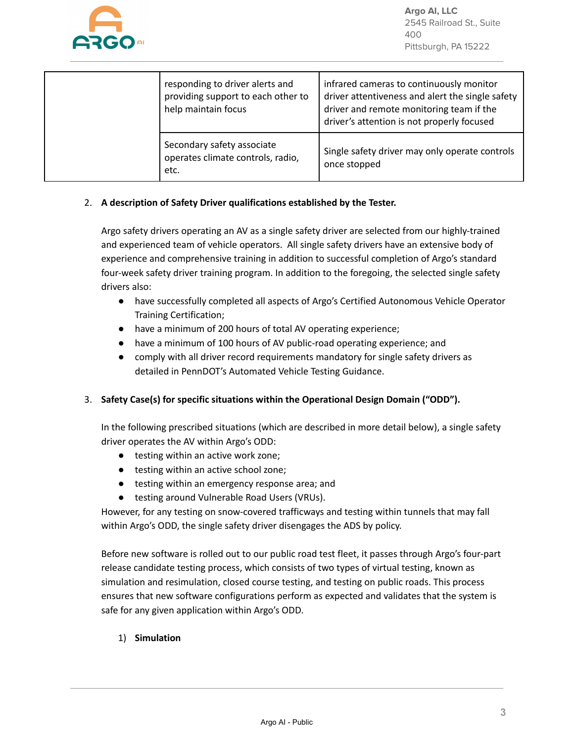

|  | responding to driver alerts and<br>providing support to each other to<br>help maintain focus | infrared cameras to continuously monitor<br>driver attentiveness and alert the single safety<br>driver and remote monitoring team if the<br>driver's attention is not properly focused |
|--|----------------------------------------------------------------------------------------------|----------------------------------------------------------------------------------------------------------------------------------------------------------------------------------------|
|  | Secondary safety associate<br>operates climate controls, radio,<br>etc.                      | Single safety driver may only operate controls<br>once stopped                                                                                                                         |

#### 2. **A description of Safety Driver qualifications established by the Tester.**

Argo safety drivers operating an AV as a single safety driver are selected from our highly-trained and experienced team of vehicle operators. All single safety drivers have an extensive body of experience and comprehensive training in addition to successful completion of Argo's standard four-week safety driver training program. In addition to the foregoing, the selected single safety drivers also:

- have successfully completed all aspects of Argo's Certified Autonomous Vehicle Operator Training Certification;
- have a minimum of 200 hours of total AV operating experience;
- have a minimum of 100 hours of AV public-road operating experience; and
- comply with all driver record requirements mandatory for single safety drivers as detailed in PennDOT's Automated Vehicle Testing Guidance.

## 3. **Safety Case(s) for specific situations within the Operational Design Domain ("ODD").**

In the following prescribed situations (which are described in more detail below), a single safety driver operates the AV within Argo's ODD:

- testing within an active work zone;
- testing within an active school zone;
- testing within an emergency response area; and
- testing around Vulnerable Road Users (VRUs).

However, for any testing on snow-covered trafficways and testing within tunnels that may fall within Argo's ODD, the single safety driver disengages the ADS by policy.

Before new software is rolled out to our public road test fleet, it passes through Argo's four-part release candidate testing process, which consists of two types of virtual testing, known as simulation and resimulation, closed course testing, and testing on public roads. This process ensures that new software configurations perform as expected and validates that the system is safe for any given application within Argo's ODD.

## 1) **Simulation**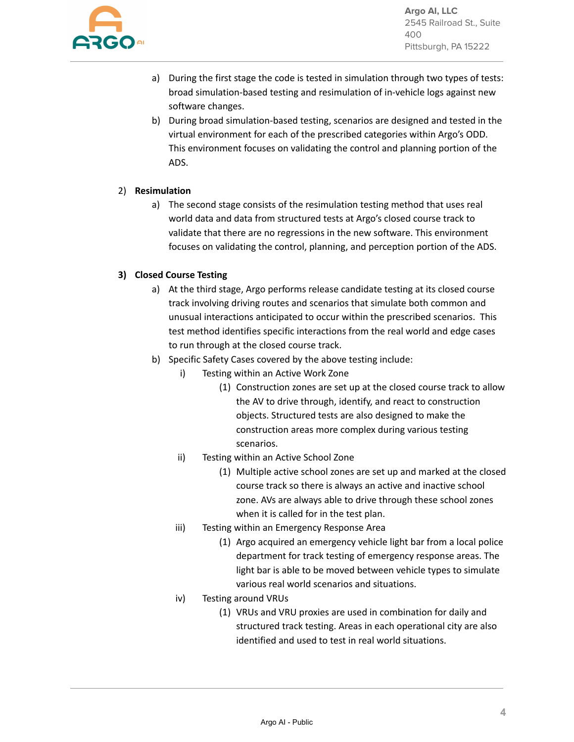

**Argo AI, LLC** 2545 Railroad St., Suite 400 Pittsburgh, PA 15222

- a) During the first stage the code is tested in simulation through two types of tests: broad simulation-based testing and resimulation of in-vehicle logs against new software changes.
- b) During broad simulation-based testing, scenarios are designed and tested in the virtual environment for each of the prescribed categories within Argo's ODD. This environment focuses on validating the control and planning portion of the ADS.

#### 2) **Resimulation**

a) The second stage consists of the resimulation testing method that uses real world data and data from structured tests at Argo's closed course track to validate that there are no regressions in the new software. This environment focuses on validating the control, planning, and perception portion of the ADS.

#### **3) Closed Course Testing**

- a) At the third stage, Argo performs release candidate testing at its closed course track involving driving routes and scenarios that simulate both common and unusual interactions anticipated to occur within the prescribed scenarios. This test method identifies specific interactions from the real world and edge cases to run through at the closed course track.
- b) Specific Safety Cases covered by the above testing include:
	- i) Testing within an Active Work Zone
		- (1) Construction zones are set up at the closed course track to allow the AV to drive through, identify, and react to construction objects. Structured tests are also designed to make the construction areas more complex during various testing scenarios.
	- ii) Testing within an Active School Zone
		- (1) Multiple active school zones are set up and marked at the closed course track so there is always an active and inactive school zone. AVs are always able to drive through these school zones when it is called for in the test plan.
	- iii) Testing within an Emergency Response Area
		- (1) Argo acquired an emergency vehicle light bar from a local police department for track testing of emergency response areas. The light bar is able to be moved between vehicle types to simulate various real world scenarios and situations.
	- iv) Testing around VRUs
		- (1) VRUs and VRU proxies are used in combination for daily and structured track testing. Areas in each operational city are also identified and used to test in real world situations.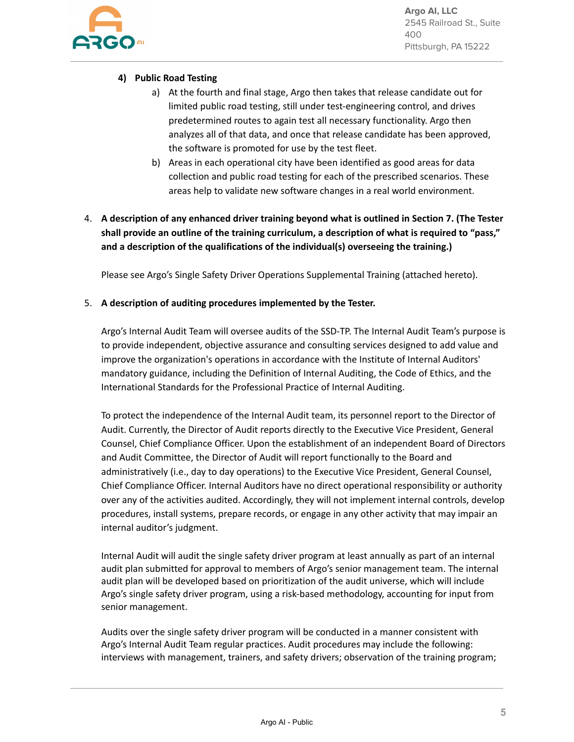

**Argo AI, LLC** 2545 Railroad St., Suite 400 Pittsburgh, PA 15222

#### **4) Public Road Testing**

- a) At the fourth and final stage, Argo then takes that release candidate out for limited public road testing, still under test-engineering control, and drives predetermined routes to again test all necessary functionality. Argo then analyzes all of that data, and once that release candidate has been approved, the software is promoted for use by the test fleet.
- b) Areas in each operational city have been identified as good areas for data collection and public road testing for each of the prescribed scenarios. These areas help to validate new software changes in a real world environment.
- 4. **A description of any enhanced driver training beyond what is outlined in Section 7. (The Tester shall provide an outline of the training curriculum, a description of what is required to "pass," and a description of the qualifications of the individual(s) overseeing the training.)**

Please see Argo's Single Safety Driver Operations Supplemental Training (attached hereto).

#### 5. **A description of auditing procedures implemented by the Tester.**

Argo's Internal Audit Team will oversee audits of the SSD-TP. The Internal Audit Team's purpose is to provide independent, objective assurance and consulting services designed to add value and improve the organization's operations in accordance with the Institute of Internal Auditors' mandatory guidance, including the Definition of Internal Auditing, the Code of Ethics, and the International Standards for the Professional Practice of Internal Auditing.

To protect the independence of the Internal Audit team, its personnel report to the Director of Audit. Currently, the Director of Audit reports directly to the Executive Vice President, General Counsel, Chief Compliance Officer. Upon the establishment of an independent Board of Directors and Audit Committee, the Director of Audit will report functionally to the Board and administratively (i.e., day to day operations) to the Executive Vice President, General Counsel, Chief Compliance Officer. Internal Auditors have no direct operational responsibility or authority over any of the activities audited. Accordingly, they will not implement internal controls, develop procedures, install systems, prepare records, or engage in any other activity that may impair an internal auditor's judgment.

Internal Audit will audit the single safety driver program at least annually as part of an internal audit plan submitted for approval to members of Argo's senior management team. The internal audit plan will be developed based on prioritization of the audit universe, which will include Argo's single safety driver program, using a risk-based methodology, accounting for input from senior management.

Audits over the single safety driver program will be conducted in a manner consistent with Argo's Internal Audit Team regular practices. Audit procedures may include the following: interviews with management, trainers, and safety drivers; observation of the training program;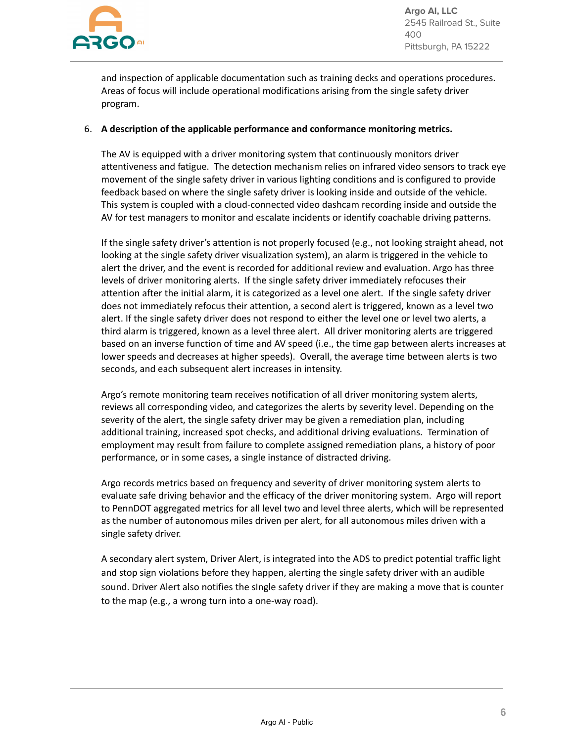

and inspection of applicable documentation such as training decks and operations procedures. Areas of focus will include operational modifications arising from the single safety driver program.

#### 6. **A description of the applicable performance and conformance monitoring metrics.**

The AV is equipped with a driver monitoring system that continuously monitors driver attentiveness and fatigue. The detection mechanism relies on infrared video sensors to track eye movement of the single safety driver in various lighting conditions and is configured to provide feedback based on where the single safety driver is looking inside and outside of the vehicle. This system is coupled with a cloud-connected video dashcam recording inside and outside the AV for test managers to monitor and escalate incidents or identify coachable driving patterns.

If the single safety driver's attention is not properly focused (e.g., not looking straight ahead, not looking at the single safety driver visualization system), an alarm is triggered in the vehicle to alert the driver, and the event is recorded for additional review and evaluation. Argo has three levels of driver monitoring alerts. If the single safety driver immediately refocuses their attention after the initial alarm, it is categorized as a level one alert. If the single safety driver does not immediately refocus their attention, a second alert is triggered, known as a level two alert. If the single safety driver does not respond to either the level one or level two alerts, a third alarm is triggered, known as a level three alert. All driver monitoring alerts are triggered based on an inverse function of time and AV speed (i.e., the time gap between alerts increases at lower speeds and decreases at higher speeds). Overall, the average time between alerts is two seconds, and each subsequent alert increases in intensity.

Argo's remote monitoring team receives notification of all driver monitoring system alerts, reviews all corresponding video, and categorizes the alerts by severity level. Depending on the severity of the alert, the single safety driver may be given a remediation plan, including additional training, increased spot checks, and additional driving evaluations. Termination of employment may result from failure to complete assigned remediation plans, a history of poor performance, or in some cases, a single instance of distracted driving.

Argo records metrics based on frequency and severity of driver monitoring system alerts to evaluate safe driving behavior and the efficacy of the driver monitoring system. Argo will report to PennDOT aggregated metrics for all level two and level three alerts, which will be represented as the number of autonomous miles driven per alert, for all autonomous miles driven with a single safety driver.

A secondary alert system, Driver Alert, is integrated into the ADS to predict potential traffic light and stop sign violations before they happen, alerting the single safety driver with an audible sound. Driver Alert also notifies the sIngle safety driver if they are making a move that is counter to the map (e.g., a wrong turn into a one-way road).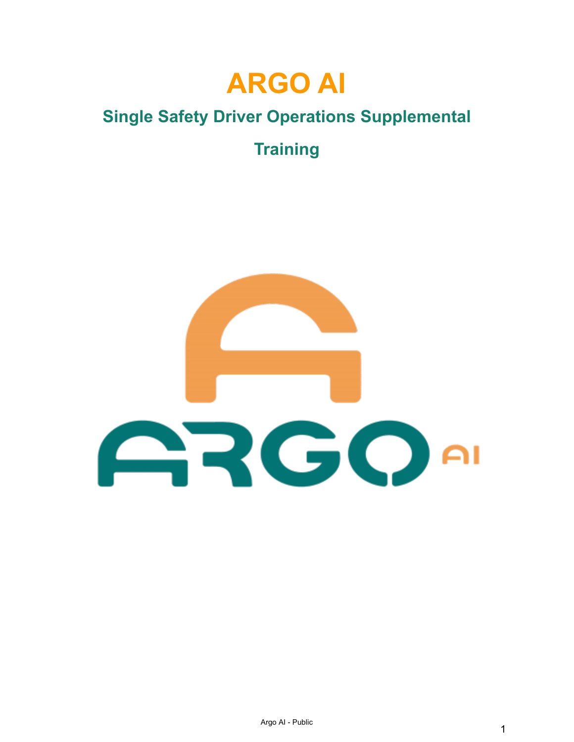

# **Single Safety Driver Operations Supplemental**

**Training**

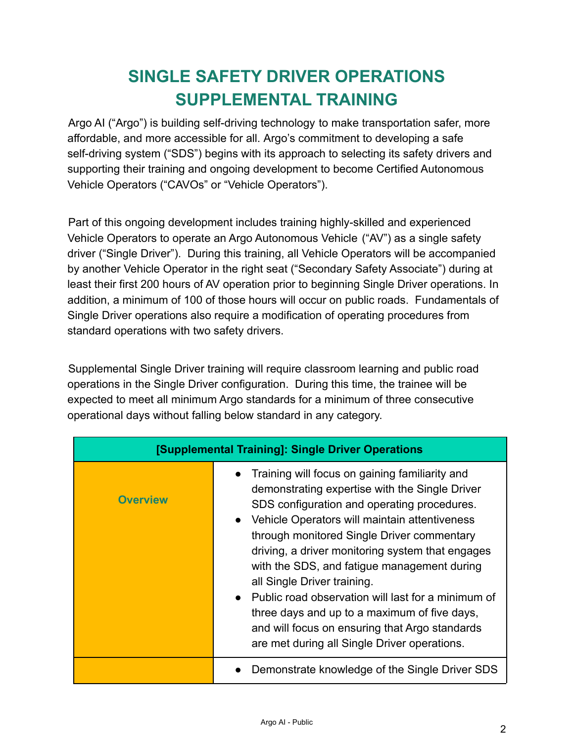# **SINGLE SAFETY DRIVER OPERATIONS SUPPLEMENTAL TRAINING**

Argo AI ("Argo") is building self-driving technology to make transportation safer, more affordable, and more accessible for all. Argo's commitment to developing a safe self-driving system ("SDS") begins with its approach to selecting its safety drivers and supporting their training and ongoing development to become Certified Autonomous Vehicle Operators ("CAVOs" or "Vehicle Operators").

Part of this ongoing development includes training highly-skilled and experienced Vehicle Operators to operate an Argo Autonomous Vehicle ("AV") as a single safety driver ("Single Driver"). During this training, all Vehicle Operators will be accompanied by another Vehicle Operator in the right seat ("Secondary Safety Associate") during at least their first 200 hours of AV operation prior to beginning Single Driver operations. In addition, a minimum of 100 of those hours will occur on public roads. Fundamentals of Single Driver operations also require a modification of operating procedures from standard operations with two safety drivers.

Supplemental Single Driver training will require classroom learning and public road operations in the Single Driver configuration. During this time, the trainee will be expected to meet all minimum Argo standards for a minimum of three consecutive operational days without falling below standard in any category.

| [Supplemental Training]: Single Driver Operations |                                                                                                                                                                                                                                                                                                                                                                                                                                                                                                                                                                                                         |  |
|---------------------------------------------------|---------------------------------------------------------------------------------------------------------------------------------------------------------------------------------------------------------------------------------------------------------------------------------------------------------------------------------------------------------------------------------------------------------------------------------------------------------------------------------------------------------------------------------------------------------------------------------------------------------|--|
| <b>Overview</b>                                   | Training will focus on gaining familiarity and<br>demonstrating expertise with the Single Driver<br>SDS configuration and operating procedures.<br>• Vehicle Operators will maintain attentiveness<br>through monitored Single Driver commentary<br>driving, a driver monitoring system that engages<br>with the SDS, and fatigue management during<br>all Single Driver training.<br>Public road observation will last for a minimum of<br>$\bullet$<br>three days and up to a maximum of five days,<br>and will focus on ensuring that Argo standards<br>are met during all Single Driver operations. |  |
|                                                   | Demonstrate knowledge of the Single Driver SDS                                                                                                                                                                                                                                                                                                                                                                                                                                                                                                                                                          |  |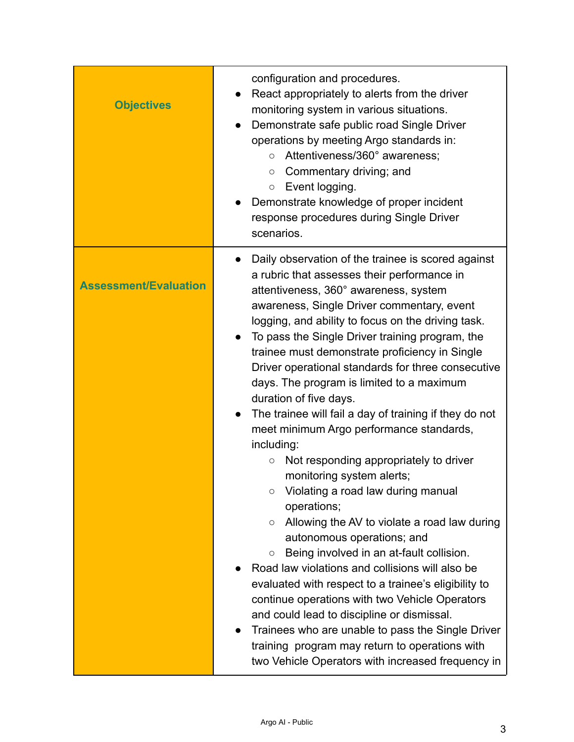| <b>Objectives</b>            | configuration and procedures.<br>React appropriately to alerts from the driver<br>monitoring system in various situations.<br>Demonstrate safe public road Single Driver<br>$\bullet$<br>operations by meeting Argo standards in:<br>Attentiveness/360° awareness;<br>$\circ$<br>Commentary driving; and<br>$\circ$<br>Event logging.<br>$\circ$<br>Demonstrate knowledge of proper incident<br>response procedures during Single Driver<br>scenarios.                                                                                                                                                                                                                                                                                                                                                                                                                                                                                                                                                                                                                                                                                                                                                                                                                                         |
|------------------------------|------------------------------------------------------------------------------------------------------------------------------------------------------------------------------------------------------------------------------------------------------------------------------------------------------------------------------------------------------------------------------------------------------------------------------------------------------------------------------------------------------------------------------------------------------------------------------------------------------------------------------------------------------------------------------------------------------------------------------------------------------------------------------------------------------------------------------------------------------------------------------------------------------------------------------------------------------------------------------------------------------------------------------------------------------------------------------------------------------------------------------------------------------------------------------------------------------------------------------------------------------------------------------------------------|
| <b>Assessment/Evaluation</b> | Daily observation of the trainee is scored against<br>$\bullet$<br>a rubric that assesses their performance in<br>attentiveness, 360° awareness, system<br>awareness, Single Driver commentary, event<br>logging, and ability to focus on the driving task.<br>To pass the Single Driver training program, the<br>trainee must demonstrate proficiency in Single<br>Driver operational standards for three consecutive<br>days. The program is limited to a maximum<br>duration of five days.<br>The trainee will fail a day of training if they do not<br>meet minimum Argo performance standards,<br>including:<br>Not responding appropriately to driver<br>$\circ$<br>monitoring system alerts;<br>Violating a road law during manual<br>О<br>operations;<br>Allowing the AV to violate a road law during<br>O<br>autonomous operations; and<br>Being involved in an at-fault collision.<br>$\bigcirc$<br>Road law violations and collisions will also be<br>evaluated with respect to a trainee's eligibility to<br>continue operations with two Vehicle Operators<br>and could lead to discipline or dismissal.<br>Trainees who are unable to pass the Single Driver<br>$\bullet$<br>training program may return to operations with<br>two Vehicle Operators with increased frequency in |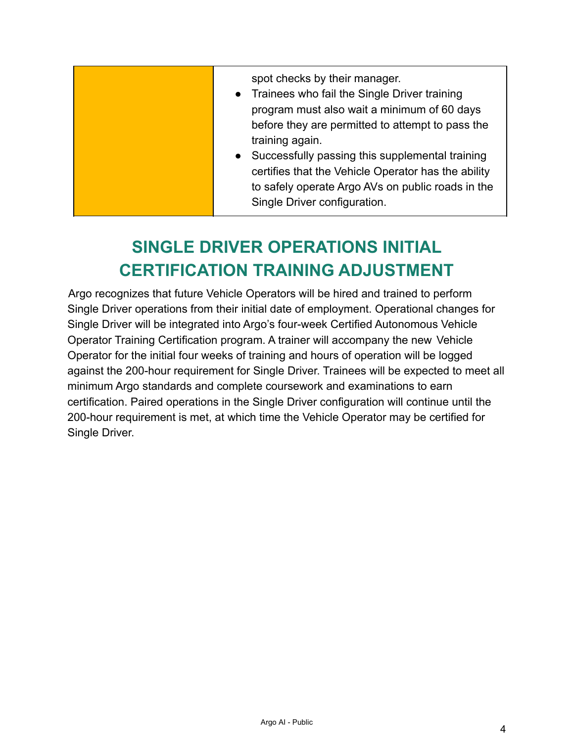# **SINGLE DRIVER OPERATIONS INITIAL CERTIFICATION TRAINING ADJUSTMENT**

Argo recognizes that future Vehicle Operators will be hired and trained to perform Single Driver operations from their initial date of employment. Operational changes for Single Driver will be integrated into Argo's four-week Certified Autonomous Vehicle Operator Training Certification program. A trainer will accompany the new Vehicle Operator for the initial four weeks of training and hours of operation will be logged against the 200-hour requirement for Single Driver. Trainees will be expected to meet all minimum Argo standards and complete coursework and examinations to earn certification. Paired operations in the Single Driver configuration will continue until the 200-hour requirement is met, at which time the Vehicle Operator may be certified for Single Driver.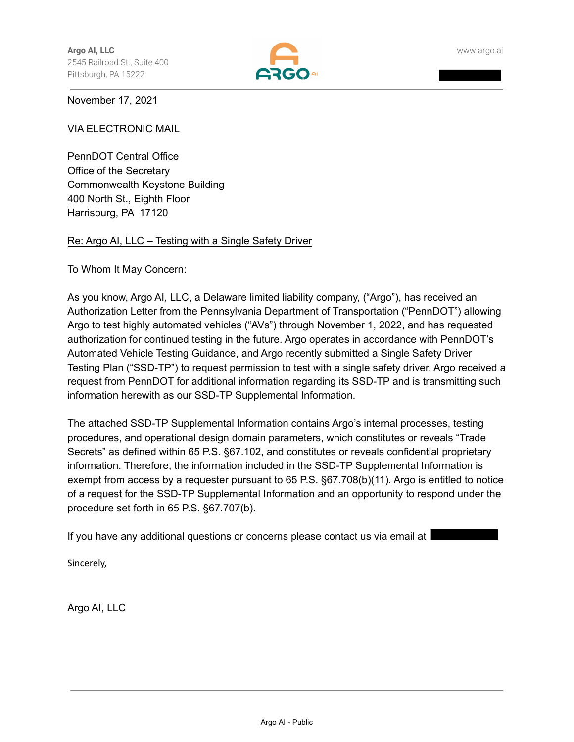

November 17, 2021

VIA ELECTRONIC MAIL

PennDOT Central Office Office of the Secretary Commonwealth Keystone Building 400 North St., Eighth Floor Harrisburg, PA 17120

#### Re: Argo AI, LLC – Testing with a Single Safety Driver

To Whom It May Concern:

As you know, Argo AI, LLC, a Delaware limited liability company, ("Argo"), has received an Authorization Letter from the Pennsylvania Department of Transportation ("PennDOT") allowing Argo to test highly automated vehicles ("AVs") through November 1, 2022, and has requested authorization for continued testing in the future. Argo operates in accordance with PennDOT's Automated Vehicle Testing Guidance, and Argo recently submitted a Single Safety Driver Testing Plan ("SSD-TP") to request permission to test with a single safety driver. Argo received a request from PennDOT for additional information regarding its SSD-TP and is transmitting such information herewith as our SSD-TP Supplemental Information.

The attached SSD-TP Supplemental Information contains Argo's internal processes, testing procedures, and operational design domain parameters, which constitutes or reveals "Trade Secrets" as defined within 65 P.S. §67.102, and constitutes or reveals confidential proprietary information. Therefore, the information included in the SSD-TP Supplemental Information is exempt from access by a requester pursuant to 65 P.S. §67.708(b)(11). Argo is entitled to notice of a request for the SSD-TP Supplemental Information and an opportunity to respond under the procedure set forth in 65 P.S. §67.707(b).

If you have any additional questions or concerns please contact us via email at I

Sincerely,

Argo AI, LLC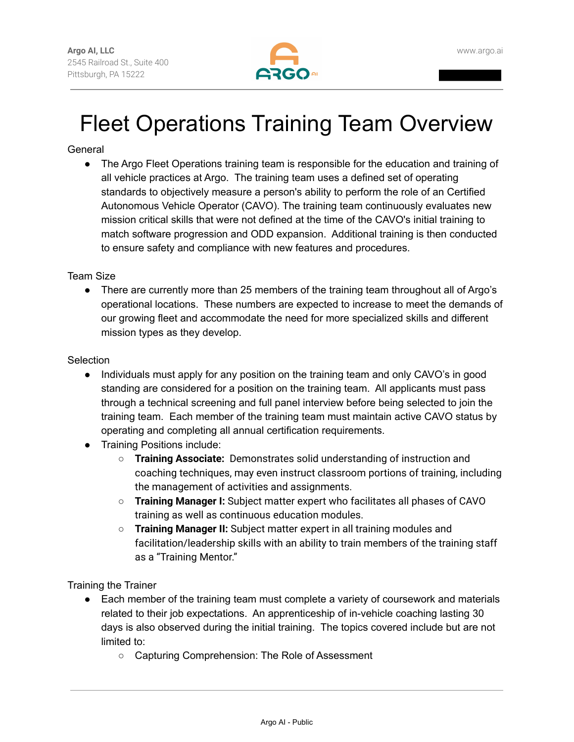

# Fleet Operations Training Team Overview

## **General**

• The Argo Fleet Operations training team is responsible for the education and training of all vehicle practices at Argo. The training team uses a defined set of operating standards to objectively measure a person's ability to perform the role of an Certified Autonomous Vehicle Operator (CAVO). The training team continuously evaluates new mission critical skills that were not defined at the time of the CAVO's initial training to match software progression and ODD expansion. Additional training is then conducted to ensure safety and compliance with new features and procedures.

Team Size

• There are currently more than 25 members of the training team throughout all of Argo's operational locations. These numbers are expected to increase to meet the demands of our growing fleet and accommodate the need for more specialized skills and different mission types as they develop.

#### **Selection**

- Individuals must apply for any position on the training team and only CAVO's in good standing are considered for a position on the training team. All applicants must pass through a technical screening and full panel interview before being selected to join the training team. Each member of the training team must maintain active CAVO status by operating and completing all annual certification requirements.
- Training Positions include:
	- **Training Associate:** Demonstrates solid understanding of instruction and coaching techniques, may even instruct classroom portions of training, including the management of activities and assignments.
	- **Training Manager I:** Subject matter expert who facilitates all phases of CAVO training as well as continuous education modules.
	- **Training Manager II:** Subject matter expert in all training modules and facilitation/leadership skills with an ability to train members of the training staff as a "Training Mentor."

Training the Trainer

- Each member of the training team must complete a variety of coursework and materials related to their job expectations. An apprenticeship of in-vehicle coaching lasting 30 days is also observed during the initial training. The topics covered include but are not limited to:
	- Capturing Comprehension: The Role of Assessment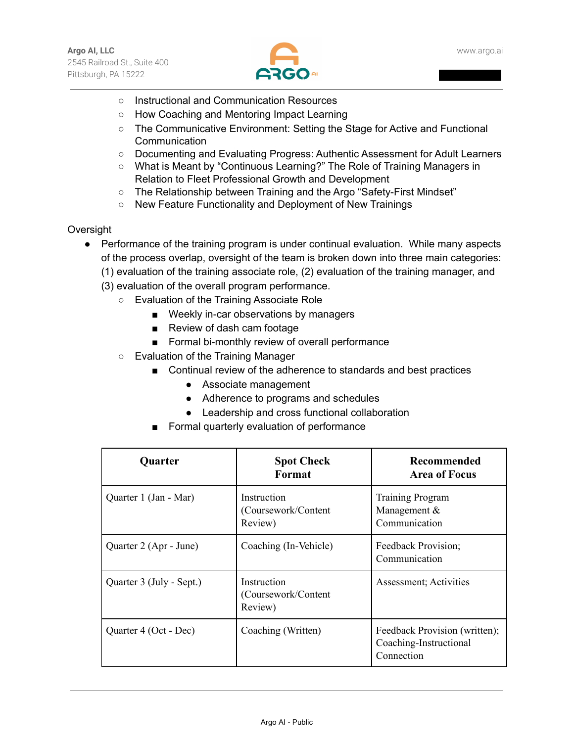

- Instructional and Communication Resources
- How Coaching and Mentoring Impact Learning
- The Communicative Environment: Setting the Stage for Active and Functional Communication
- Documenting and Evaluating Progress: Authentic Assessment for Adult Learners
- What is Meant by "Continuous Learning?" The Role of Training Managers in Relation to Fleet Professional Growth and Development
- The Relationship between Training and the Argo "Safety-First Mindset"
- New Feature Functionality and Deployment of New Trainings

#### **Oversight**

- Performance of the training program is under continual evaluation. While many aspects of the process overlap, oversight of the team is broken down into three main categories:
	- (1) evaluation of the training associate role, (2) evaluation of the training manager, and
	- (3) evaluation of the overall program performance.
		- Evaluation of the Training Associate Role
			- Weekly in-car observations by managers
			- Review of dash cam footage
			- Formal bi-monthly review of overall performance
		- Evaluation of the Training Manager
			- Continual review of the adherence to standards and best practices
				- Associate management
				- Adherence to programs and schedules
				- Leadership and cross functional collaboration
			- Formal quarterly evaluation of performance

| <b>Quarter</b>           | <b>Spot Check</b><br>Format                    | Recommended<br><b>Area of Focus</b>                                   |
|--------------------------|------------------------------------------------|-----------------------------------------------------------------------|
| Quarter 1 (Jan - Mar)    | Instruction<br>(Coursework/Content)<br>Review) | <b>Training Program</b><br>Management $\&$<br>Communication           |
| Quarter 2 (Apr - June)   | Coaching (In-Vehicle)                          | Feedback Provision;<br>Communication                                  |
| Quarter 3 (July - Sept.) | Instruction<br>(Coursework/Content)<br>Review) | Assessment; Activities                                                |
| Quarter 4 (Oct - Dec)    | Coaching (Written)                             | Feedback Provision (written);<br>Coaching-Instructional<br>Connection |